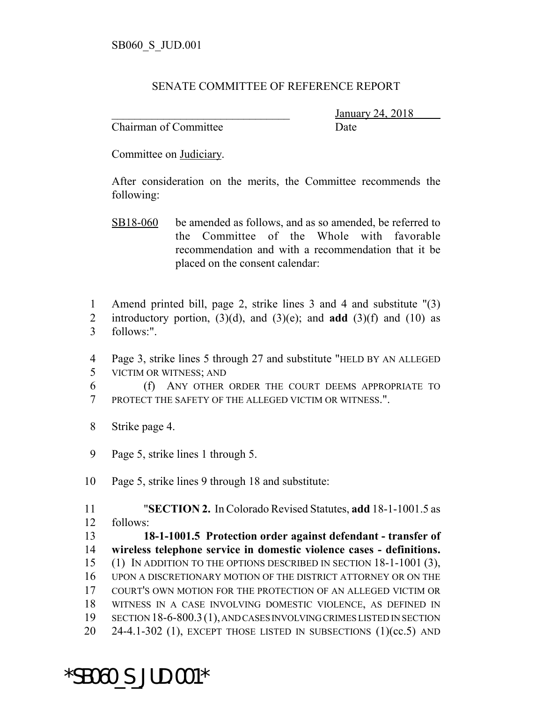## SENATE COMMITTEE OF REFERENCE REPORT

Chairman of Committee Date

\_\_\_\_\_\_\_\_\_\_\_\_\_\_\_\_\_\_\_\_\_\_\_\_\_\_\_\_\_\_\_ January 24, 2018

Committee on Judiciary.

After consideration on the merits, the Committee recommends the following:

- SB18-060 be amended as follows, and as so amended, be referred to the Committee of the Whole with favorable recommendation and with a recommendation that it be placed on the consent calendar:
- 1 Amend printed bill, page 2, strike lines 3 and 4 and substitute "(3)
- 2 introductory portion,  $(3)(d)$ , and  $(3)(e)$ ; and **add**  $(3)(f)$  and  $(10)$  as 3 follows:".
- 4 Page 3, strike lines 5 through 27 and substitute "HELD BY AN ALLEGED 5 VICTIM OR WITNESS; AND
- 6 (f) ANY OTHER ORDER THE COURT DEEMS APPROPRIATE TO 7 PROTECT THE SAFETY OF THE ALLEGED VICTIM OR WITNESS.".
- 8 Strike page 4.
- 9 Page 5, strike lines 1 through 5.
- 10 Page 5, strike lines 9 through 18 and substitute:

11 "**SECTION 2.** In Colorado Revised Statutes, **add** 18-1-1001.5 as 12 follows:

 **18-1-1001.5 Protection order against defendant - transfer of wireless telephone service in domestic violence cases - definitions.** (1) IN ADDITION TO THE OPTIONS DESCRIBED IN SECTION 18-1-1001 (3), UPON A DISCRETIONARY MOTION OF THE DISTRICT ATTORNEY OR ON THE COURT'S OWN MOTION FOR THE PROTECTION OF AN ALLEGED VICTIM OR WITNESS IN A CASE INVOLVING DOMESTIC VIOLENCE, AS DEFINED IN SECTION 18-6-800.3(1), AND CASES INVOLVING CRIMES LISTED IN SECTION 20 24-4.1-302 (1), EXCEPT THOSE LISTED IN SUBSECTIONS  $(1)(cc.5)$  AND

\*SB060\_S\_JUD.001\*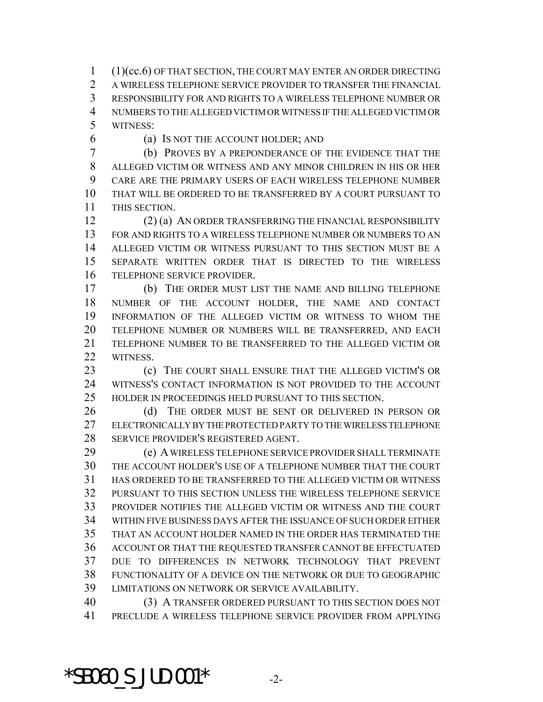(1)(cc.6) OF THAT SECTION, THE COURT MAY ENTER AN ORDER DIRECTING A WIRELESS TELEPHONE SERVICE PROVIDER TO TRANSFER THE FINANCIAL RESPONSIBILITY FOR AND RIGHTS TO A WIRELESS TELEPHONE NUMBER OR NUMBERS TO THE ALLEGED VICTIM OR WITNESS IF THE ALLEGED VICTIM OR WITNESS:

(a) IS NOT THE ACCOUNT HOLDER; AND

 (b) PROVES BY A PREPONDERANCE OF THE EVIDENCE THAT THE ALLEGED VICTIM OR WITNESS AND ANY MINOR CHILDREN IN HIS OR HER CARE ARE THE PRIMARY USERS OF EACH WIRELESS TELEPHONE NUMBER THAT WILL BE ORDERED TO BE TRANSFERRED BY A COURT PURSUANT TO THIS SECTION.

 (2) (a) AN ORDER TRANSFERRING THE FINANCIAL RESPONSIBILITY FOR AND RIGHTS TO A WIRELESS TELEPHONE NUMBER OR NUMBERS TO AN ALLEGED VICTIM OR WITNESS PURSUANT TO THIS SECTION MUST BE A SEPARATE WRITTEN ORDER THAT IS DIRECTED TO THE WIRELESS TELEPHONE SERVICE PROVIDER.

 (b) THE ORDER MUST LIST THE NAME AND BILLING TELEPHONE NUMBER OF THE ACCOUNT HOLDER, THE NAME AND CONTACT INFORMATION OF THE ALLEGED VICTIM OR WITNESS TO WHOM THE TELEPHONE NUMBER OR NUMBERS WILL BE TRANSFERRED, AND EACH TELEPHONE NUMBER TO BE TRANSFERRED TO THE ALLEGED VICTIM OR WITNESS.

 (c) THE COURT SHALL ENSURE THAT THE ALLEGED VICTIM'S OR WITNESS'S CONTACT INFORMATION IS NOT PROVIDED TO THE ACCOUNT HOLDER IN PROCEEDINGS HELD PURSUANT TO THIS SECTION.

26 (d) THE ORDER MUST BE SENT OR DELIVERED IN PERSON OR ELECTRONICALLY BY THE PROTECTED PARTY TO THE WIRELESS TELEPHONE SERVICE PROVIDER'S REGISTERED AGENT.

 (e) A WIRELESS TELEPHONE SERVICE PROVIDER SHALL TERMINATE THE ACCOUNT HOLDER'S USE OF A TELEPHONE NUMBER THAT THE COURT HAS ORDERED TO BE TRANSFERRED TO THE ALLEGED VICTIM OR WITNESS PURSUANT TO THIS SECTION UNLESS THE WIRELESS TELEPHONE SERVICE PROVIDER NOTIFIES THE ALLEGED VICTIM OR WITNESS AND THE COURT WITHIN FIVE BUSINESS DAYS AFTER THE ISSUANCE OF SUCH ORDER EITHER THAT AN ACCOUNT HOLDER NAMED IN THE ORDER HAS TERMINATED THE ACCOUNT OR THAT THE REQUESTED TRANSFER CANNOT BE EFFECTUATED DUE TO DIFFERENCES IN NETWORK TECHNOLOGY THAT PREVENT FUNCTIONALITY OF A DEVICE ON THE NETWORK OR DUE TO GEOGRAPHIC LIMITATIONS ON NETWORK OR SERVICE AVAILABILITY.

 (3) A TRANSFER ORDERED PURSUANT TO THIS SECTION DOES NOT PRECLUDE A WIRELESS TELEPHONE SERVICE PROVIDER FROM APPLYING

 $*$ SB060 S JUD.001 $*$  -2-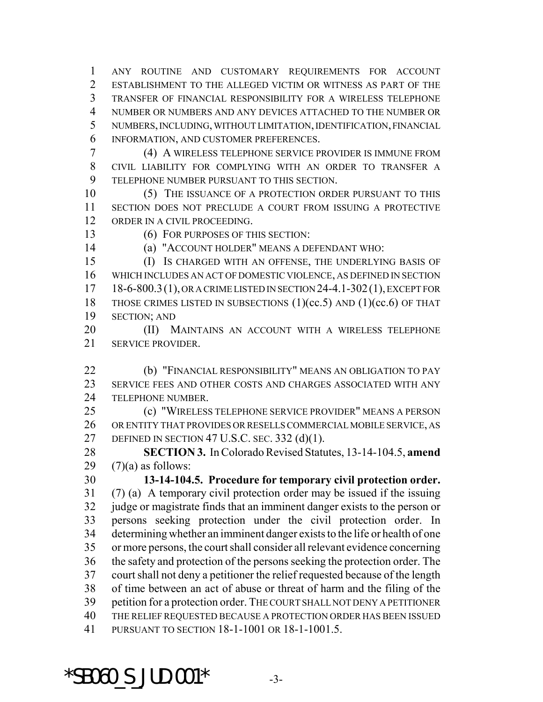ANY ROUTINE AND CUSTOMARY REQUIREMENTS FOR ACCOUNT ESTABLISHMENT TO THE ALLEGED VICTIM OR WITNESS AS PART OF THE TRANSFER OF FINANCIAL RESPONSIBILITY FOR A WIRELESS TELEPHONE NUMBER OR NUMBERS AND ANY DEVICES ATTACHED TO THE NUMBER OR NUMBERS, INCLUDING, WITHOUT LIMITATION, IDENTIFICATION, FINANCIAL INFORMATION, AND CUSTOMER PREFERENCES.

 (4) A WIRELESS TELEPHONE SERVICE PROVIDER IS IMMUNE FROM CIVIL LIABILITY FOR COMPLYING WITH AN ORDER TO TRANSFER A TELEPHONE NUMBER PURSUANT TO THIS SECTION.

10 (5) THE ISSUANCE OF A PROTECTION ORDER PURSUANT TO THIS SECTION DOES NOT PRECLUDE A COURT FROM ISSUING A PROTECTIVE ORDER IN A CIVIL PROCEEDING.

(6) FOR PURPOSES OF THIS SECTION:

(a) "ACCOUNT HOLDER" MEANS A DEFENDANT WHO:

 (I) IS CHARGED WITH AN OFFENSE, THE UNDERLYING BASIS OF WHICH INCLUDES AN ACT OF DOMESTIC VIOLENCE, AS DEFINED IN SECTION 18-6-800.3(1), OR A CRIME LISTED IN SECTION 24-4.1-302(1), EXCEPT FOR 18 THOSE CRIMES LISTED IN SUBSECTIONS (1)(cc.5) AND (1)(cc.6) OF THAT SECTION; AND

**(II) MAINTAINS AN ACCOUNT WITH A WIRELESS TELEPHONE** SERVICE PROVIDER.

 (b) "FINANCIAL RESPONSIBILITY" MEANS AN OBLIGATION TO PAY SERVICE FEES AND OTHER COSTS AND CHARGES ASSOCIATED WITH ANY TELEPHONE NUMBER.

 (c) "WIRELESS TELEPHONE SERVICE PROVIDER" MEANS A PERSON OR ENTITY THAT PROVIDES OR RESELLS COMMERCIAL MOBILE SERVICE, AS DEFINED IN SECTION 47 U.S.C. SEC. 332 (d)(1).

 **SECTION 3.** In Colorado Revised Statutes, 13-14-104.5, **amend** 29  $(7)(a)$  as follows:

 **13-14-104.5. Procedure for temporary civil protection order.** (7) (a) A temporary civil protection order may be issued if the issuing judge or magistrate finds that an imminent danger exists to the person or persons seeking protection under the civil protection order. In determining whether an imminent danger exists to the life or health of one or more persons, the court shall consider all relevant evidence concerning the safety and protection of the persons seeking the protection order. The court shall not deny a petitioner the relief requested because of the length of time between an act of abuse or threat of harm and the filing of the petition for a protection order. THE COURT SHALL NOT DENY A PETITIONER THE RELIEF REQUESTED BECAUSE A PROTECTION ORDER HAS BEEN ISSUED PURSUANT TO SECTION 18-1-1001 OR 18-1-1001.5.

 $*$ SB060 S JUD.001 $*$  -3-